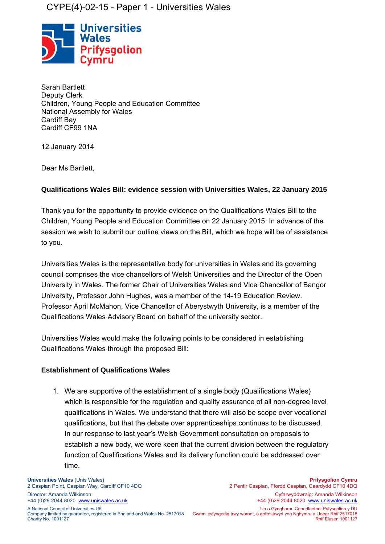# CYPE(4)-02-15 - Paper 1 - Universities Wales



Sarah Bartlett Deputy Clerk Children, Young People and Education Committee National Assembly for Wales Cardiff Bay Cardiff CF99 1NA

12 January 2014

Dear Ms Bartlett,

## **Qualifications Wales Bill: evidence session with Universities Wales, 22 January 2015**

Thank you for the opportunity to provide evidence on the Qualifications Wales Bill to the Children, Young People and Education Committee on 22 January 2015. In advance of the session we wish to submit our outline views on the Bill, which we hope will be of assistance to you.

Universities Wales is the representative body for universities in Wales and its governing council comprises the vice chancellors of Welsh Universities and the Director of the Open University in Wales. The former Chair of Universities Wales and Vice Chancellor of Bangor University, Professor John Hughes, was a member of the 14-19 Education Review. Professor April McMahon, Vice Chancellor of Aberystwyth University, is a member of the Qualifications Wales Advisory Board on behalf of the university sector.

Universities Wales would make the following points to be considered in establishing Qualifications Wales through the proposed Bill:

### **Establishment of Qualifications Wales**

1. We are supportive of the establishment of a single body (Qualifications Wales) which is responsible for the regulation and quality assurance of all non-degree level qualifications in Wales. We understand that there will also be scope over vocational qualifications, but that the debate over apprenticeships continues to be discussed. In our response to last year's Welsh Government consultation on proposals to establish a new body, we were keen that the current division between the regulatory function of Qualifications Wales and its delivery function could be addressed over time.

+44 (0)29 2044 8020 [www.uniswales.ac.uk](http://www.uniswales.ac.uk/) +44 (0)29 2044 8020 [www.uniswales.ac.uk](http://www.uniswales.ac.uk/)

Charity No. 1001127

2 Pentir Caspian, Ffordd Caspian, Caerdydd CF10 4DQ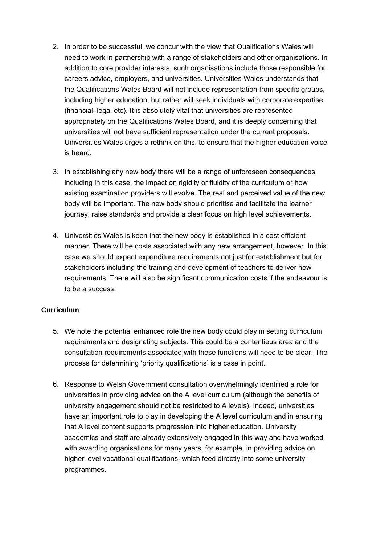- 2. In order to be successful, we concur with the view that Qualifications Wales will need to work in partnership with a range of stakeholders and other organisations. In addition to core provider interests, such organisations include those responsible for careers advice, employers, and universities. Universities Wales understands that the Qualifications Wales Board will not include representation from specific groups, including higher education, but rather will seek individuals with corporate expertise (financial, legal etc). It is absolutely vital that universities are represented appropriately on the Qualifications Wales Board, and it is deeply concerning that universities will not have sufficient representation under the current proposals. Universities Wales urges a rethink on this, to ensure that the higher education voice is heard.
- 3. In establishing any new body there will be a range of unforeseen consequences, including in this case, the impact on rigidity or fluidity of the curriculum or how existing examination providers will evolve. The real and perceived value of the new body will be important. The new body should prioritise and facilitate the learner journey, raise standards and provide a clear focus on high level achievements.
- 4. Universities Wales is keen that the new body is established in a cost efficient manner. There will be costs associated with any new arrangement, however. In this case we should expect expenditure requirements not just for establishment but for stakeholders including the training and development of teachers to deliver new requirements. There will also be significant communication costs if the endeavour is to be a success.

### **Curriculum**

- 5. We note the potential enhanced role the new body could play in setting curriculum requirements and designating subjects. This could be a contentious area and the consultation requirements associated with these functions will need to be clear. The process for determining 'priority qualifications' is a case in point.
- 6. Response to Welsh Government consultation overwhelmingly identified a role for universities in providing advice on the A level curriculum (although the benefits of university engagement should not be restricted to A levels). Indeed, universities have an important role to play in developing the A level curriculum and in ensuring that A level content supports progression into higher education. University academics and staff are already extensively engaged in this way and have worked with awarding organisations for many years, for example, in providing advice on higher level vocational qualifications, which feed directly into some university programmes.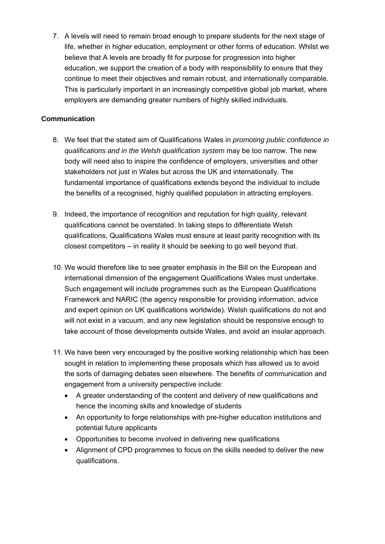7. A levels will need to remain broad enough to prepare students for the next stage of life, whether in higher education, employment or other forms of education. Whilst we believe that A levels are broadly fit for purpose for progression into higher education, we support the creation of a body with responsibility to ensure that they continue to meet their objectives and remain robust, and internationally comparable. This is particularly important in an increasingly competitive global job market, where employers are demanding greater numbers of highly skilled individuals.

### **Communication**

- 8. We feel that the stated aim of Qualifications Wales in *promoting public confidence in qualifications and in the Welsh qualification system* may be too narrow. The new body will need also to inspire the confidence of employers, universities and other stakeholders not just in Wales but across the UK and internationally. The fundamental importance of qualifications extends beyond the individual to include the benefits of a recognised, highly qualified population in attracting employers.
- 9. Indeed, the importance of recognition and reputation for high quality, relevant qualifications cannot be overstated. In taking steps to differentiate Welsh qualifications, Qualifications Wales must ensure at least parity recognition with its closest competitors – in reality it should be seeking to go well beyond that.
- 10. We would therefore like to see greater emphasis in the Bill on the European and international dimension of the engagement Qualifications Wales must undertake. Such engagement will include programmes such as the European Qualifications Framework and [NARIC](https://www.naric.org.uk/naric/) (the agency responsible for providing information, advice and expert opinion on UK qualifications worldwide). Welsh qualifications do not and will not exist in a vacuum, and any new legislation should be responsive enough to take account of those developments outside Wales, and avoid an insular approach.
- 11. We have been very encouraged by the positive working relationship which has been sought in relation to implementing these proposals which has allowed us to avoid the sorts of damaging debates seen elsewhere. The benefits of communication and engagement from a university perspective include:
	- A greater understanding of the content and delivery of new qualifications and hence the incoming skills and knowledge of students
	- An opportunity to forge relationships with pre-higher education institutions and potential future applicants
	- Opportunities to become involved in delivering new qualifications
	- Alignment of CPD programmes to focus on the skills needed to deliver the new qualifications.